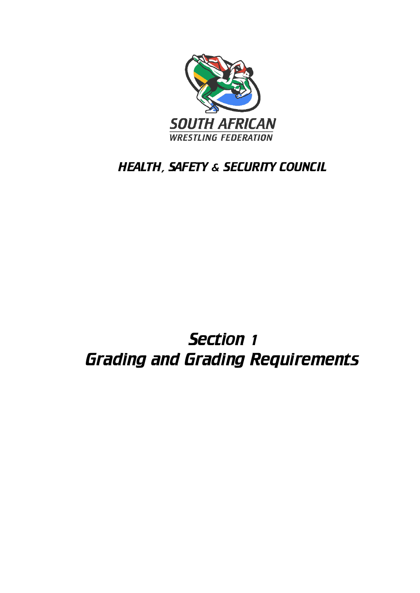

## HEALTH, SAFETY & SECURITY COUNCIL

# Section 1 Grading and Grading Requirements